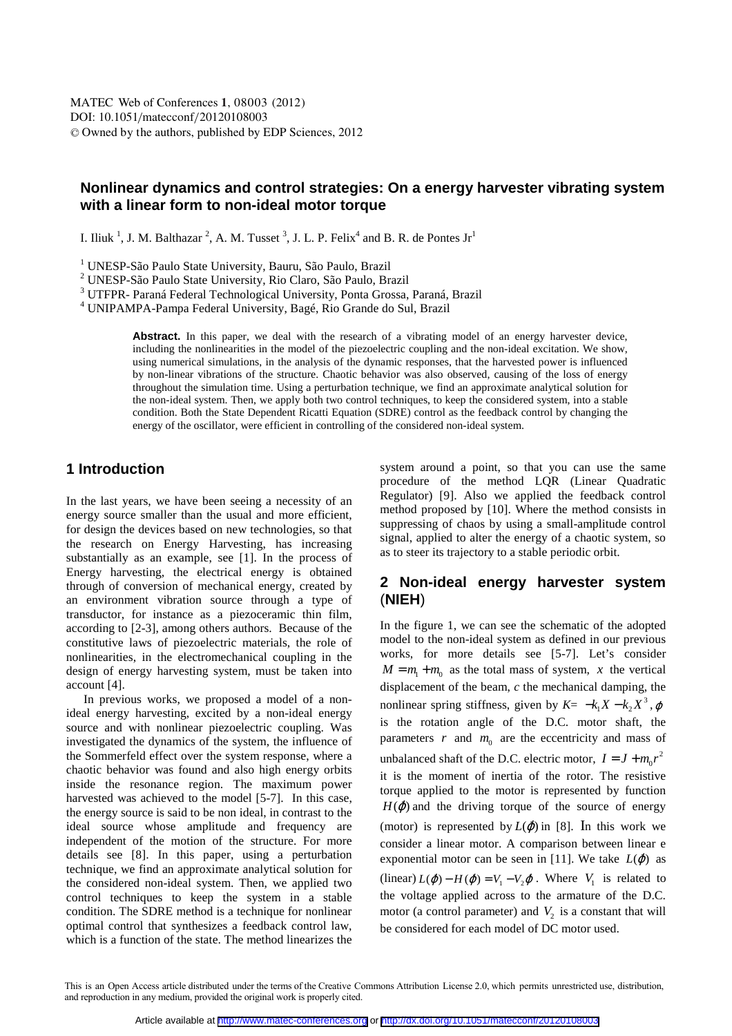# **Nonlinear dynamics and control strategies: On a energy harvester vibrating system with a linear form to non-ideal motor torque**

I. Iliuk<sup>1</sup>, J. M. Balthazar<sup>2</sup>, A. M. Tusset<sup>3</sup>, J. L. P. Felix<sup>4</sup> and B. R. de Pontes Jr<sup>1</sup>

<sup>1</sup> UNESP-São Paulo State University, Bauru, São Paulo, Brazil

2 UNESP-São Paulo State University, Rio Claro, São Paulo, Brazil

<sup>3</sup> UTFPR- Paraná Federal Technological University, Ponta Grossa, Paraná, Brazil

4 UNIPAMPA-Pampa Federal University, Bagé, Rio Grande do Sul, Brazil

Abstract. In this paper, we deal with the research of a vibrating model of an energy harvester device, including the nonlinearities in the model of the piezoelectric coupling and the non-ideal excitation. We show, using numerical simulations, in the analysis of the dynamic responses, that the harvested power is influenced by non-linear vibrations of the structure. Chaotic behavior was also observed, causing of the loss of energy throughout the simulation time. Using a perturbation technique, we find an approximate analytical solution for the non-ideal system. Then, we apply both two control techniques, to keep the considered system, into a stable condition. Both the State Dependent Ricatti Equation (SDRE) control as the feedback control by changing the energy of the oscillator, were efficient in controlling of the considered non-ideal system.

#### **1 Introduction**

In the last years, we have been seeing a necessity of an energy source smaller than the usual and more efficient, for design the devices based on new technologies, so that the research on Energy Harvesting, has increasing substantially as an example, see [1]. In the process of Energy harvesting, the electrical energy is obtained through of conversion of mechanical energy, created by an environment vibration source through a type of transductor, for instance as a piezoceramic thin film, according to [2-3], among others authors. Because of the constitutive laws of piezoelectric materials, the role of nonlinearities, in the electromechanical coupling in the design of energy harvesting system, must be taken into account [4].

In previous works, we proposed a model of a nonideal energy harvesting, excited by a non-ideal energy source and with nonlinear piezoelectric coupling. Was investigated the dynamics of the system, the influence of the Sommerfeld effect over the system response, where a chaotic behavior was found and also high energy orbits inside the resonance region. The maximum power harvested was achieved to the model [5-7]. In this case, the energy source is said to be non ideal, in contrast to the ideal source whose amplitude and frequency are independent of the motion of the structure. For more details see [8]. In this paper, using a perturbation technique, we find an approximate analytical solution for the considered non-ideal system. Then, we applied two control techniques to keep the system in a stable condition. The SDRE method is a technique for nonlinear optimal control that synthesizes a feedback control law, which is a function of the state. The method linearizes the system around a point, so that you can use the same procedure of the method LQR (Linear Quadratic Regulator) [9]. Also we applied the feedback control method proposed by [10]. Where the method consists in suppressing of chaos by using a small-amplitude control signal, applied to alter the energy of a chaotic system, so as to steer its trajectory to a stable periodic orbit.

#### **2 Non-ideal energy harvester system**  (**NIEH**)

In the figure 1, we can see the schematic of the adopted model to the non-ideal system as defined in our previous works, for more details see [5-7]. Let's consider  $M = m_1 + m_0$  as the total mass of system, *x* the vertical displacement of the beam, *c* the mechanical damping, the nonlinear spring stiffness, given by  $K = -k_1 X - k_2 X^3$ ,  $\varphi$ is the rotation angle of the D.C. motor shaft, the parameters  $r$  and  $m_0$  are the eccentricity and mass of unbalanced shaft of the D.C. electric motor,  $I = J + m_0 r^2$ it is the moment of inertia of the rotor. The resistive torque applied to the motor is represented by function  $H(\dot{\varphi})$  and the driving torque of the source of energy (motor) is represented by  $L(\dot{\varphi})$  in [8]. In this work we consider a linear motor. A comparison between linear e exponential motor can be seen in [11]. We take  $L(\phi)$  as (linear)  $L(\dot{\phi}) - H(\dot{\phi}) = V_1 - V_2 \dot{\phi}$ . Where  $V_1$  is related to the voltage applied across to the armature of the D.C. motor (a control parameter) and  $V_2$  is a constant that will be considered for each model of DC motor used.

This is an Open Access article distributed under the terms of the Creative Commons Attribution License 2.0, which permits unrestricted use, distribution, and reproduction in any medium, provided the original work is properly cited.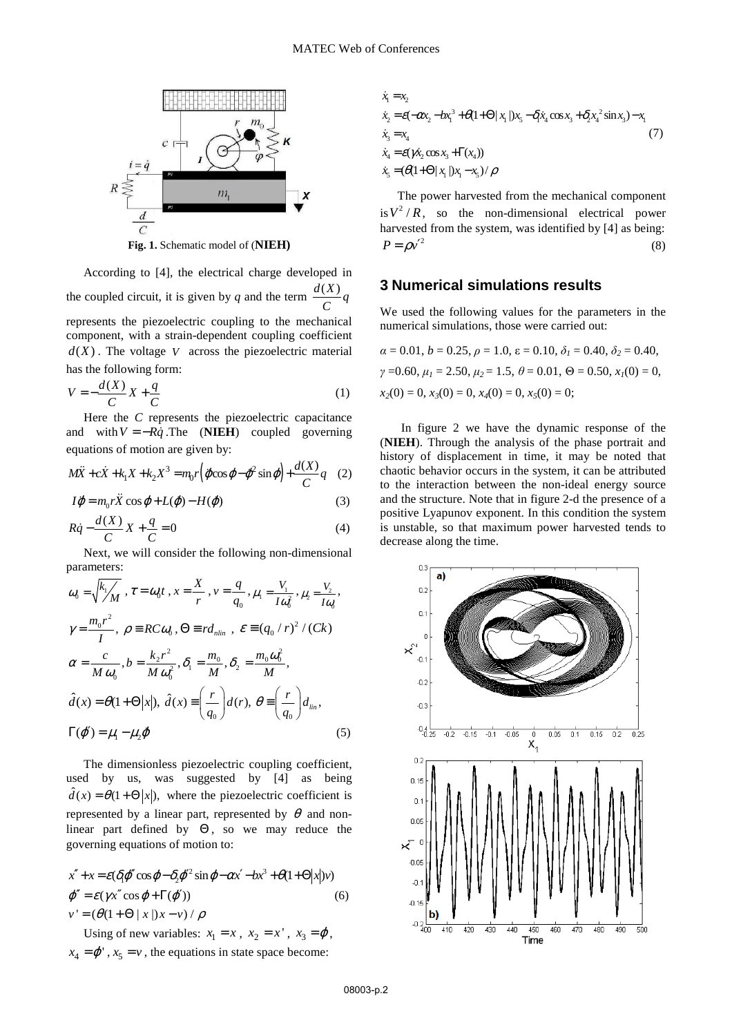

**Fig. 1.** Schematic model of (**NIEH)** 

According to [4], the electrical charge developed in the coupled circuit, it is given by *q* and the term  $\frac{d(X)}{C}q$ represents the piezoelectric coupling to the mechanical component, with a strain-dependent coupling coefficient  $d(X)$ . The voltage *V* across the piezoelectric material

$$
V = -\frac{d(X)}{C}X + \frac{q}{C}
$$
 (1)

has the following form:

Here the *C* represents the piezoelectric capacitance and with  $V = -R\dot{q}$ . The (**NIEH**) coupled governing equations of motion are given by:

$$
M\ddot{X} + c\dot{X} + k_1 X + k_2 X^3 = m_0 r \left( \ddot{\varphi} \cos \varphi - \dot{\varphi}^2 \sin \varphi \right) + \frac{d(X)}{C} q \quad (2)
$$

$$
I\ddot{\varphi} = m_0 r \ddot{X} \cos \varphi + L(\dot{\varphi}) - H(\dot{\varphi})
$$
 (3)

$$
R\dot{q} - \frac{d(X)}{C}X + \frac{q}{C} = 0\tag{4}
$$

Next, we will consider the following non-dimensional parameters:

$$
\omega_0 = \sqrt{\frac{k_1}{M}}, \tau = \omega_0 t, x = \frac{X}{r}, v = \frac{q}{q_0}, \mu_1 = \frac{V_1}{I\omega_0^2}, \mu_2 = \frac{V_2}{I\omega_0},
$$
  
\n
$$
\gamma = \frac{m_0 r^2}{I}, \rho = RC \omega_0, \Theta = r d_{nlin}, \epsilon = (q_0 / r)^2 / (Ck)
$$
  
\n
$$
\alpha = \frac{c}{M \omega_0}, b = \frac{k_2 r^2}{M \omega_0^2}, \delta_1 = \frac{m_0}{M}, \delta_2 = \frac{m_0 \omega_0^2}{M},
$$
  
\n
$$
\hat{d}(x) = \theta(1 + \Theta |x|), \hat{d}(x) = \left(\frac{r}{q_0}\right) d(r), \theta = \left(\frac{r}{q_0}\right) d_{lin},
$$
  
\n
$$
\Gamma(\phi') = \mu_1 - \mu_2 \phi
$$
 (5)

The dimensionless piezoelectric coupling coefficient, used by us, was suggested by [4] as being  $\hat{d}(x) = \theta(1 + \Theta |x|)$ , where the piezoelectric coefficient is represented by a linear part, represented by  $\theta$  and nonlinear part defined by  $\Theta$ , so we may reduce the governing equations of motion to:

$$
x'' + x = \varepsilon (\delta_1 \varphi'' \cos \varphi - \delta_2 \varphi'^2 \sin \varphi - \alpha x' - bx^3 + \theta (1 + \Theta |x|) \nu)
$$
  

$$
\varphi'' = \varepsilon (\gamma x'' \cos \varphi + \Gamma(\varphi')) \tag{6}
$$
  

$$
\nu' = (\theta (1 + \Theta | x |) x - \nu) / \rho
$$

Using of new variables:  $x_1 = x$ ,  $x_2 = x'$ ,  $x_3 = \varphi$ ,  $x_4 = \varphi'$ ,  $x_5 = v$ , the equations in state space become:

$$
\dot{x}_1 = x_2 \n\dot{x}_2 = \mathcal{E}(-\alpha x_2 - b x_1^3 + \theta (1 + \Theta) |x_1|) x_5 - \delta_1 \dot{x}_4 \cos x_3 + \delta_2 x_4^2 \sin x_3 - x_1 \n\dot{x}_3 = x_4 \n\dot{x}_4 = \mathcal{E}(\gamma \dot{x}_2 \cos x_3 + \Gamma(x_4)) \n\dot{x}_5 = (\theta (1 + \Theta) |x_1|) x_1 - x_5) / \rho
$$
\n(7)

The power harvested from the mechanical component is  $V^2/R$ , so the non-dimensional electrical power harvested from the system, was identified by [4] as being:  $P = \rho v'^2$  (8)

#### **3 Numerical simulations results**

We used the following values for the parameters in the numerical simulations, those were carried out:

$$
\alpha = 0.01, b = 0.25, \rho = 1.0, \varepsilon = 0.10, \delta_1 = 0.40, \delta_2 = 0.40,
$$
  

$$
\gamma = 0.60, \mu_1 = 2.50, \mu_2 = 1.5, \theta = 0.01, \Theta = 0.50, x_1(0) = 0,
$$
  

$$
x_2(0) = 0, x_3(0) = 0, x_4(0) = 0, x_5(0) = 0;
$$

 In figure 2 we have the dynamic response of the (**NIEH**). Through the analysis of the phase portrait and history of displacement in time, it may be noted that chaotic behavior occurs in the system, it can be attributed to the interaction between the non-ideal energy source and the structure. Note that in figure 2-d the presence of a positive Lyapunov exponent. In this condition the system is unstable, so that maximum power harvested tends to decrease along the time.

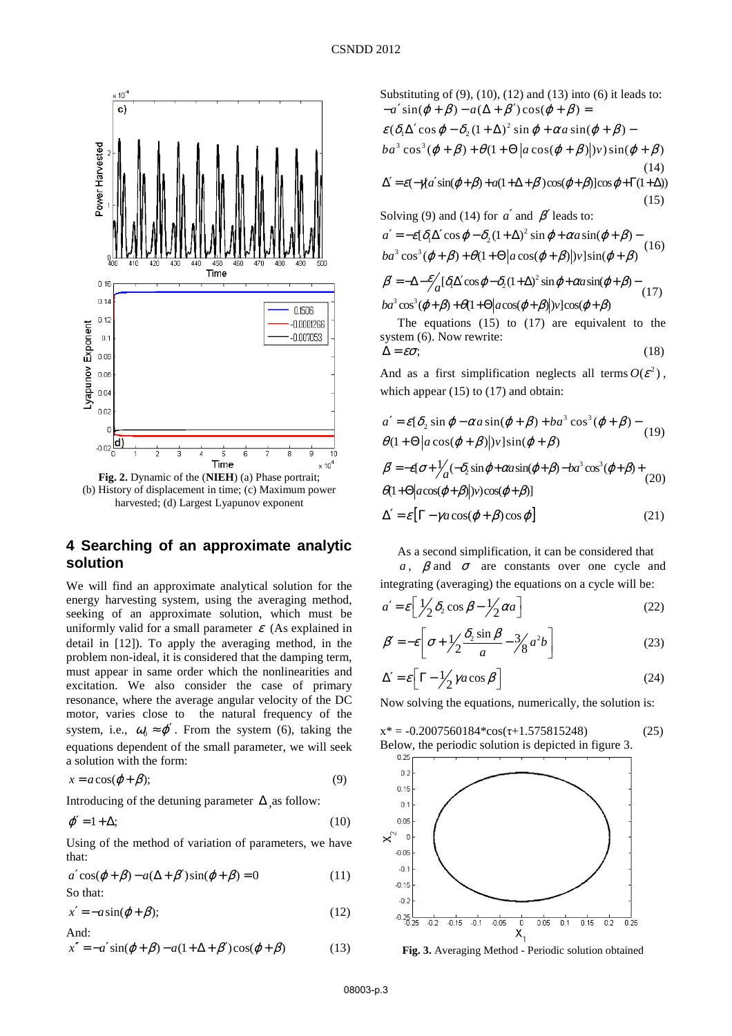

(b) History of displacement in time; (c) Maximum power harvested; (d) Largest Lyapunov exponent

# **4 Searching of an approximate analytic solution**

We will find an approximate analytical solution for the energy harvesting system, using the averaging method, seeking of an approximate solution, which must be uniformly valid for a small parameter  $\varepsilon$  (As explained in detail in [12]). To apply the averaging method, in the problem non-ideal, it is considered that the damping term, must appear in same order which the nonlinearities and excitation. We also consider the case of primary resonance, where the average angular velocity of the DC motor, varies close to the natural frequency of the system, i.e.,  $\omega_0 \approx \varphi'$ . From the system (6), taking the equations dependent of the small parameter, we will seek a solution with the form:

$$
x = a\cos(\varphi + \beta); \tag{9}
$$

Introducing of the detuning parameter  $\Delta$  as follow:

$$
\varphi' = 1 + \Delta; \tag{10}
$$

Using of the method of variation of parameters, we have that:

$$
a' \cos(\varphi + \beta) - a(\Delta + \beta') \sin(\varphi + \beta) = 0
$$
 (11)  
So that:

$$
x' = -a\sin(\varphi + \beta); \tag{12}
$$
  
And:

$$
x'' = -a'\sin(\varphi + \beta) - a(1 + \Delta + \beta')\cos(\varphi + \beta)
$$
 (13)

Substituting of  $(9)$ ,  $(10)$ ,  $(12)$  and  $(13)$  into  $(6)$  it leads to: (14)  $\Delta' = \varepsilon(-\gamma[a'\sin(\varphi+\beta)+a(1+\Delta+\beta')\cos(\varphi+\beta)]\cos\varphi + \Gamma(1+\Delta))$  $(15)$  $\varepsilon$ ( $\delta_1 \Delta'$ cos  $\varphi - \delta_2 (1 + \Delta)^2 \sin \varphi + \alpha a \sin(\varphi + \beta) - \alpha a$  $ba^3 \cos^3(\varphi + \beta) + \theta(1 + \Theta | a \cos(\varphi + \beta) | v) \sin(\varphi + \beta)$  $-a' \sin(\varphi + \beta) - a(\Delta + \beta') \cos(\varphi + \beta) =$ 

Solving (9) and (14) for  $a'$  and  $\beta'$  leads to:

$$
a' = -\varepsilon[\delta_1 \Delta' \cos \varphi - \delta_2 (1 + \Delta)^2 \sin \varphi + \alpha a \sin(\varphi + \beta) - b a^3 \cos^3(\varphi + \beta) + \theta (1 + \Theta | a \cos(\varphi + \beta) |) v ] \sin(\varphi + \beta)
$$
 (16)

$$
\beta' = -\Delta - \frac{\varepsilon}{4} [\delta_1 \Delta' \cos \varphi - \delta_2 (1 + \Delta)^2 \sin \varphi + \alpha a \sin(\varphi + \beta) -
$$
  
1.3 cm<sup>3</sup> (a) 21.01 cm (a) 20 cm (a) 21 cm (a) 21 cm (b) 1 cm (c) 21 cm (d) 21 cm (e) 21 cm

 $ba^3\cos^3(\varphi+\beta)+\theta(1+\Theta|a\cos(\varphi+\beta)|v]\cos(\varphi+\beta)$ 

The equations  $(15)$  to  $(17)$  are equivalent to the system (6). Now rewrite:

$$
\Delta = \varepsilon \sigma; \tag{18}
$$

And as a first simplification neglects all terms  $O(\mathcal{E}^2)$ , which appear  $(15)$  to  $(17)$  and obtain:

$$
a' = \varepsilon [\delta_2 \sin \varphi - \alpha a \sin(\varphi + \beta) + ba^3 \cos^3(\varphi + \beta) -
$$
  
\n
$$
\theta (1 + \Theta | a \cos(\varphi + \beta) |) v ] \sin(\varphi + \beta)
$$
  
\n
$$
\beta' = -\varepsilon [\sigma + \frac{1}{a} (-\delta_2 \sin \varphi + \alpha a \sin(\varphi + \beta) - ba^3 \cos^3(\varphi + \beta) +
$$
  
\n
$$
\theta (1 + \Theta | a \cos(\varphi + \beta) |) v ) \cos(\varphi + \beta)]
$$
  
\n
$$
\Delta' = \varepsilon [\Gamma - \gamma a \cos(\varphi + \beta) \cos \varphi]
$$
 (21)

As a second simplification, it can be considered that

*a*,  $\beta$  and  $\sigma$  are constants over one cycle and integrating (averaging) the equations on a cycle will be:

$$
a' = \varepsilon \left[ \frac{1}{2} \delta_2 \cos \beta - \frac{1}{2} \alpha a \right]
$$
 (22)

$$
\beta' = -\varepsilon \left[ \sigma + \frac{1}{2} \frac{\delta_2 \sin \beta}{a} - \frac{3}{8} a^2 b \right]
$$
 (23)

$$
\Delta' = \varepsilon \left[ \Gamma - \frac{1}{2} \gamma a \cos \beta \right]
$$
 (24)

Now solving the equations, numerically, the solution is:

$$
x^* = -0.2007560184 \cdot \cos(\tau + 1.575815248)
$$
 (25)  
Below, the periodic solution is depicted in figure 3.



**Fig. 3.** Averaging Method - Periodic solution obtained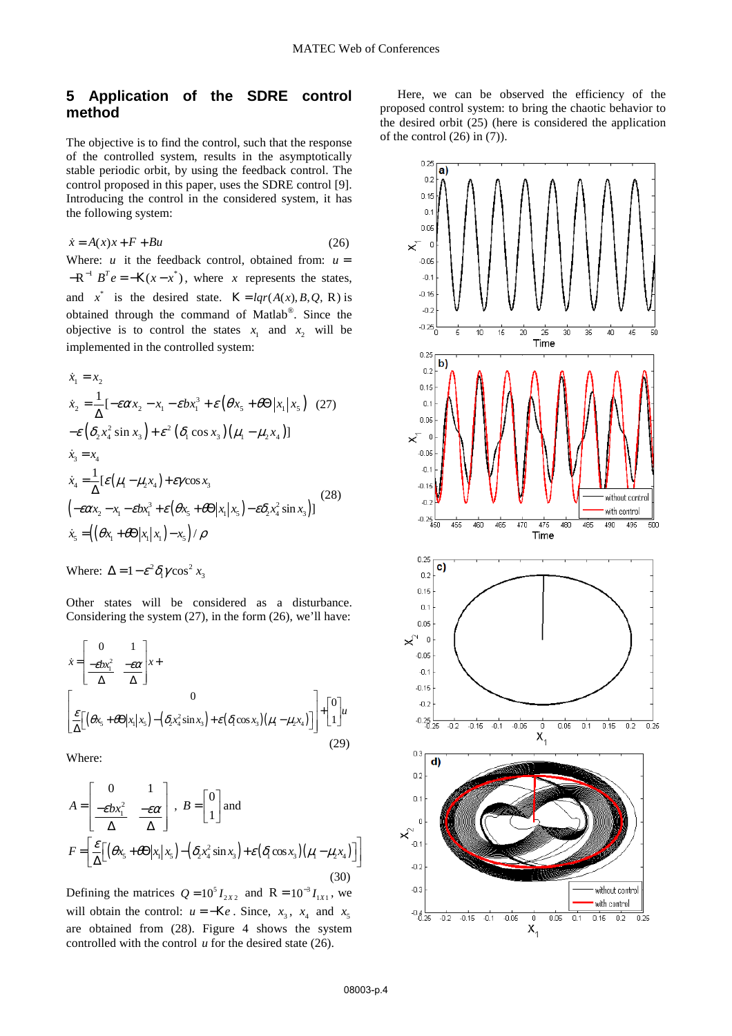## **5 Application of the SDRE control method**

The objective is to find the control, such that the response of the controlled system, results in the asymptotically stable periodic orbit, by using the feedback control. The control proposed in this paper, uses the SDRE control [9]. Introducing the control in the considered system, it has the following system:

$$
\dot{x} = A(x)x + F + Bu \tag{26}
$$

Where: *u* it the feedback control, obtained from:  $u =$  $-R^{-1} B^T e = -K(x - x^*)$ , where *x* represents the states, and  $x^*$  is the desired state.  $K = lqr(A(x), B, Q, R)$  is obtained through the command of Matlab® . Since the objective is to control the states  $x_1$  and  $x_2$  will be implemented in the controlled system:

$$
\dot{x}_1 = x_2
$$
\n
$$
\dot{x}_2 = \frac{1}{\Delta} [-\varepsilon \alpha x_2 - x_1 - \varepsilon b x_1^3 + \varepsilon (\theta x_5 + \theta \Theta | x_1 | x_5) (27)
$$
\n
$$
-\varepsilon (\delta_2 x_4^2 \sin x_3) + \varepsilon^2 (\delta_1 \cos x_3) (\mu_1 - \mu_2 x_4)]
$$
\n
$$
\dot{x}_3 = x_4
$$
\n
$$
\dot{x}_4 = \frac{1}{\Delta} [\varepsilon (\mu_1 - \mu_2 x_4) + \varepsilon \gamma \cos x_3
$$
\n
$$
(-\varepsilon \alpha x_2 - x_1 - \varepsilon b x_1^3 + \varepsilon (\theta x_5 + \theta \Theta | x_1 | x_5) - \varepsilon \delta_2 x_4^2 \sin x_3)]
$$
\n
$$
\dot{x}_5 = ((\theta x_1 + \theta \Theta | x_1 | x_1) - x_5) / \rho
$$
\n(28)

Where: 
$$
\Delta = 1 - \varepsilon^2 \delta_1 \gamma \cos^2 x_3
$$

Other states will be considered as a disturbance. Considering the system (27), in the form (26), we'll have:

$$
\dot{x} = \begin{bmatrix} 0 & 1 \\ \frac{-\varepsilon bx_1^2}{\Delta} & \frac{-\varepsilon \alpha}{\Delta} \end{bmatrix} x + \begin{bmatrix} 0 \\ \frac{\varepsilon}{\Delta} [(\theta x_5 + \theta \Theta | x_1 | x_5) - (\delta_2 x_4^2 \sin x_3) + \varepsilon (\delta_1 \cos x_3) (\mu_1 - \mu_2 x_4)] \end{bmatrix} + \begin{bmatrix} 0 \\ 1 \end{bmatrix} u
$$
\n(29)

Where:

$$
A = \begin{bmatrix} 0 & 1 \\ \frac{-\varepsilon bx_1^2}{\Delta} & \frac{-\varepsilon \alpha}{\Delta} \end{bmatrix}, B = \begin{bmatrix} 0 \\ 1 \end{bmatrix} \text{ and}
$$
  

$$
F = \begin{bmatrix} \frac{\varepsilon}{\Delta} \Big[ \big( \theta x_5 + \theta \Theta | x_1 | x_5 \big) - \big( \delta_2 x_4^2 \sin x_3 \big) + \varepsilon \big( \delta_1 \cos x_3 \big) \big( \mu_1 - \mu_2 x_4 \big) \Big] \Big]
$$
(30)

Defining the matrices  $Q = 10^5 I_{2X2}$  and  $R = 10^{-3} I_{1X1}$ , we will obtain the control:  $u = -Ke$ . Since,  $x_3$ ,  $x_4$  and  $x_5$ are obtained from (28). Figure 4 shows the system controlled with the control *u* for the desired state (26).

Here, we can be observed the efficiency of the proposed control system: to bring the chaotic behavior to the desired orbit (25) (here is considered the application of the control  $(26)$  in  $(7)$ ).

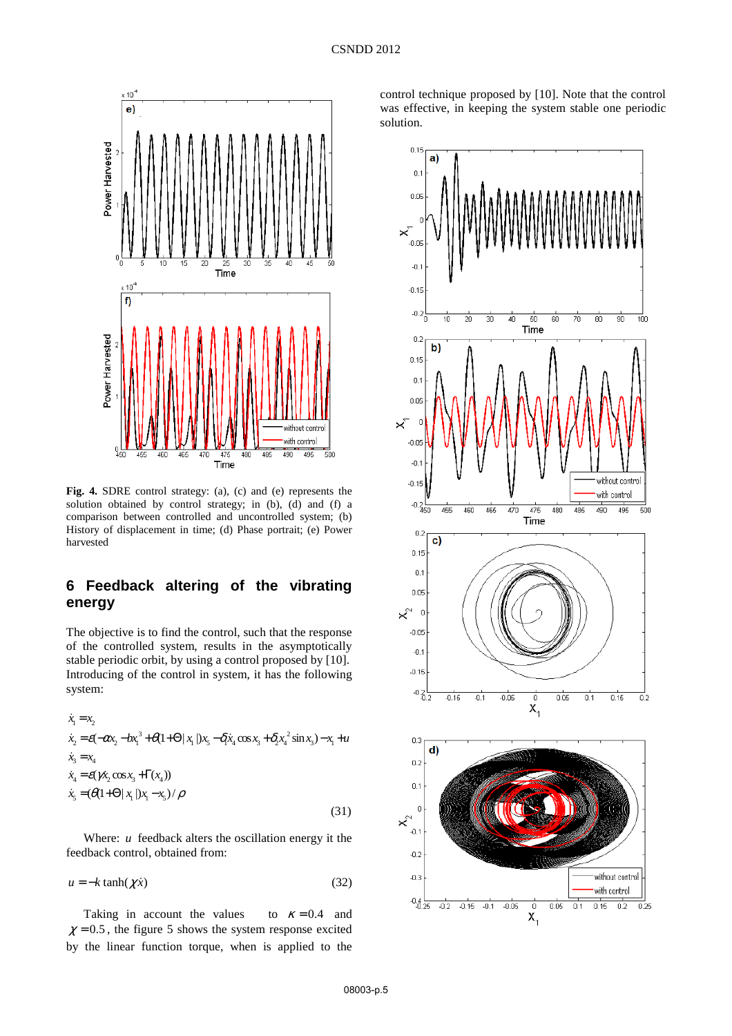

**Fig. 4.** SDRE control strategy: (a), (c) and (e) represents the solution obtained by control strategy; in (b), (d) and (f) a comparison between controlled and uncontrolled system; (b) History of displacement in time; (d) Phase portrait; (e) Power harvested

## **6 Feedback altering of the vibrating energy**

The objective is to find the control, such that the response of the controlled system, results in the asymptotically stable periodic orbit, by using a control proposed by [10]. Introducing of the control in system, it has the following system:

$$
\dot{x}_1 = x_2
$$
\n
$$
\dot{x}_2 = \varepsilon(-\alpha x_2 - b x_1^3 + \theta(1 + \Theta | x_1 |) x_5 - \delta_1 \dot{x}_4 \cos x_3 + \delta_2 x_4^2 \sin x_3) - x_1 + u
$$
\n
$$
\dot{x}_3 = x_4
$$
\n
$$
\dot{x}_4 = \varepsilon(\gamma \dot{x}_2 \cos x_3 + \Gamma(x_4))
$$
\n
$$
\dot{x}_5 = (\theta(1 + \Theta | x_1 |) x_1 - x_5) / \rho
$$
\n(31)

Where: *u* feedback alters the oscillation energy it the feedback control, obtained from:

 $u = -k \tanh(\chi \dot{x})$  (32)

Taking in account the values to  $\kappa = 0.4$  and  $\chi$  = 0.5, the figure 5 shows the system response excited by the linear function torque, when is applied to the

control technique proposed by [10]. Note that the control was effective, in keeping the system stable one periodic solution.